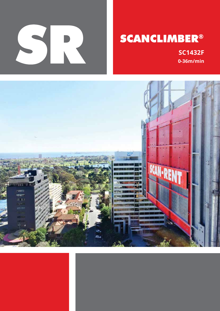

# **SCANCLIMBER®**

 **SC1432F 0-36m/min**

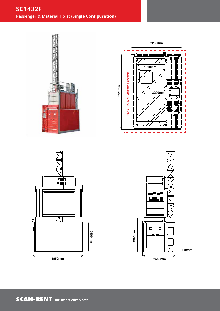## **SC1432F Passenger & Material Hoist (Single Configuration)**







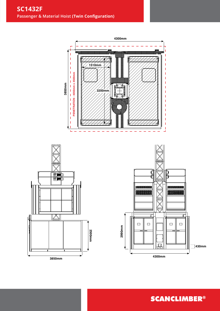





**SCANCLIMBER®**